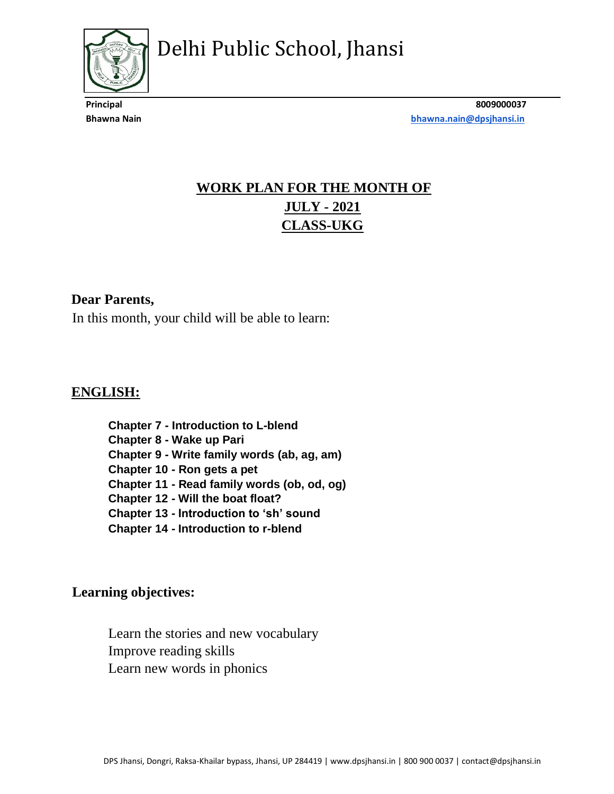

**Principal 8009000037 Bhawna Nain [bhawna.nain@dpsjhansi.in](mailto:bhawna.nain@dpsjhansi.in)**

## **WORK PLAN FOR THE MONTH OF JULY - 2021 CLASS-UKG**

#### **Dear Parents,**

In this month, your child will be able to learn:

#### **ENGLISH:**

**Chapter 7 - Introduction to L-blend Chapter 8 - Wake up Pari Chapter 9 - Write family words (ab, ag, am) Chapter 10 - Ron gets a pet Chapter 11 - Read family words (ob, od, og) Chapter 12 - Will the boat float? Chapter 13 - Introduction to 'sh' sound Chapter 14 - Introduction to r-blend**

#### **Learning objectives:**

Learn the stories and new vocabulary Improve reading skills Learn new words in phonics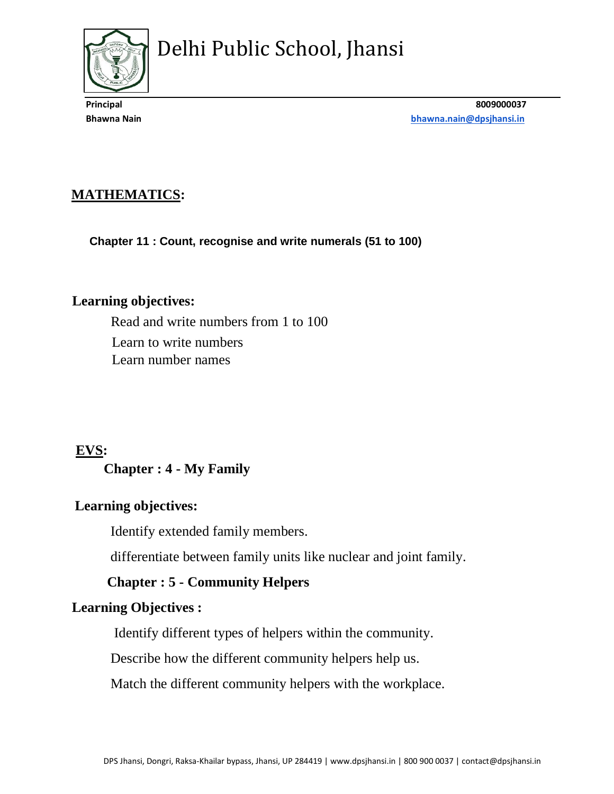

**Principal 8009000037 Bhawna Nain [bhawna.nain@dpsjhansi.in](mailto:bhawna.nain@dpsjhansi.in)**

### **MATHEMATICS:**

**Chapter 11 : Count, recognise and write numerals (51 to 100)**

#### **Learning objectives:**

Read and write numbers from 1 to 100 Learn to write numbers Learn number names

#### **EVS:**

#### **Chapter : 4 - My Family**

#### **Learning objectives:**

Identify extended family members.

differentiate between family units like nuclear and joint family.

#### **Chapter : 5 - Community Helpers**

#### **Learning Objectives :**

Identify different types of helpers within the community.

Describe how the different community helpers help us.

Match the different community helpers with the workplace.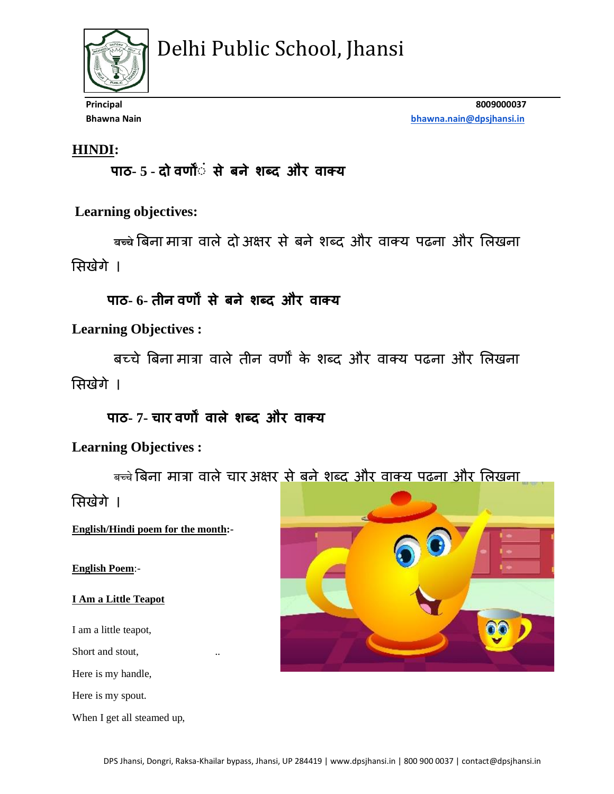

**Principal 8009000037 Bhawna Nain [bhawna.nain@dpsjhansi.in](mailto:bhawna.nain@dpsjhansi.in)**

#### **HINDI:**

 **पाठ- 5 - दो वर्णोंं से बने शब्द और वाक्य** 

**Learning objectives:** 

 **बच्चे**बिना मात्रा वाले दो अक्षर से िने शब्द और वाक्य पढना और ललखना लसखेगे ।

## **पाठ- 6- तीन वर्णों से बने शब्द और वाक्य**

**Learning Objectives :**

िच्चे बिना मात्रा वाले तीन वर्णों के शब्द और वाक्य पढना और ललखना लसखेगे ।

**पाठ- 7- चार वर्णों वाले शब्द और वाक्य** 

**Learning Objectives :**

बच्चे बिना मात्रा वाले चार अक्षर <u>से बने शब्द और वाक्य पढना और लिखना</u>

लसखेगे ।

**English/Hindi poem for the month:-**

**English Poem**:-

**I Am a Little Teapot** 

I am a little teapot,

Short and stout,

Here is my handle,

Here is my spout.

When I get all steamed up,

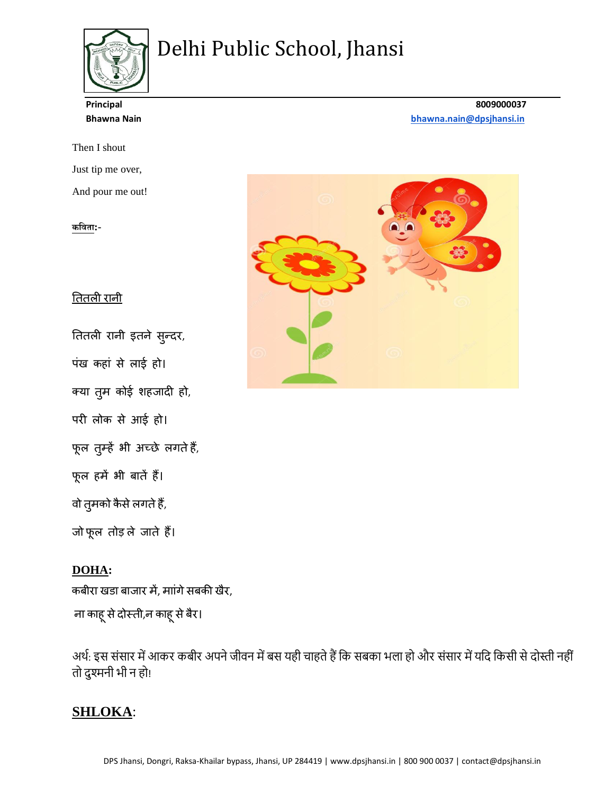

Then I shout Just tip me over,

And pour me out!

#### **कविता:-**

#### तततली रानी

तततली रानी इतने सुन्दर,

पंख कहां से लाई हो।

क्या तुम कोई शहजादी हो,

परी लोक से आई हो।

फूल तुम्हें भी अच्छे लगतेहैं,

फूल हमें भी िातें हैं।

वो तुमको कैसे लगते हैं,

जो फूल तोड़ ले जाते हैं।

#### **DOHA:**

कबीरा खडा बाजार में, माांगे सबकी खैर,

ना काहू से दोस्ती,न काहू से बैर।

अर्थ: इस संसार में आकर कबीर अपने जीवन में बस यही चाहते हैं कि सबका भला हो और संसार में यदि किसी से दोस्ती नहीं तो दुश्मनी भी न हो!

#### **SHLOKA**:

#### **Principal 8009000037 Bhawna Nain [bhawna.nain@dpsjhansi.in](mailto:bhawna.nain@dpsjhansi.in)**